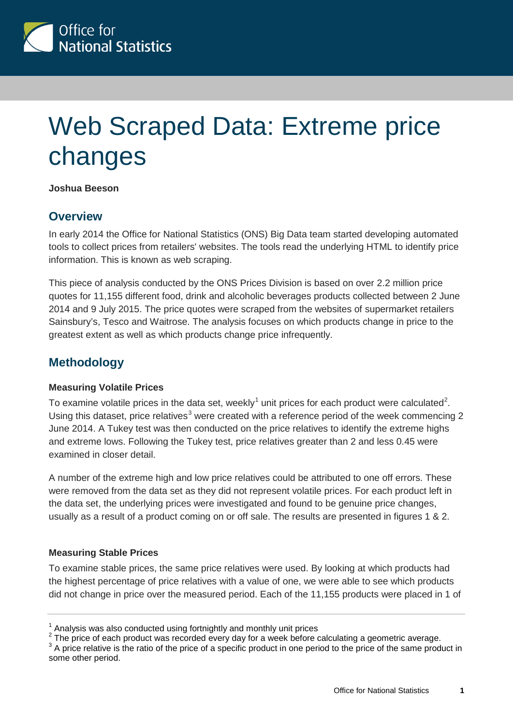

# Web Scraped Data: Extreme price changes

#### **Joshua Beeson**

## **Overview**

In early 2014 the Office for National Statistics (ONS) Big Data team started developing automated tools to collect prices from retailers' websites. The tools read the underlying HTML to identify price information. This is known as web scraping.

This piece of analysis conducted by the ONS Prices Division is based on over 2.2 million price quotes for 11,155 different food, drink and alcoholic beverages products collected between 2 June 2014 and 9 July 2015. The price quotes were scraped from the websites of supermarket retailers Sainsbury's, Tesco and Waitrose. The analysis focuses on which products change in price to the greatest extent as well as which products change price infrequently.

## **Methodology**

#### **Measuring Volatile Prices**

To examine volatile prices in the data set, weekly<sup>[1](#page-0-0)</sup> unit prices for each product were calculated<sup>[2](#page-0-1)</sup>. Using this dataset, price relatives<sup>[3](#page-0-2)</sup> were created with a reference period of the week commencing 2 June 2014. A Tukey test was then conducted on the price relatives to identify the extreme highs and extreme lows. Following the Tukey test, price relatives greater than 2 and less 0.45 were examined in closer detail.

A number of the extreme high and low price relatives could be attributed to one off errors. These were removed from the data set as they did not represent volatile prices. For each product left in the data set, the underlying prices were investigated and found to be genuine price changes, usually as a result of a product coming on or off sale. The results are presented in figures 1 & 2.

#### **Measuring Stable Prices**

To examine stable prices, the same price relatives were used. By looking at which products had the highest percentage of price relatives with a value of one, we were able to see which products did not change in price over the measured period. Each of the 11,155 products were placed in 1 of

<sup>1</sup> Analysis was also conducted using fortnightly and monthly unit prices

<span id="page-0-2"></span><span id="page-0-1"></span><span id="page-0-0"></span><sup>2</sup> The price of each product was recorded every day for a week before calculating a geometric average.<br> $3$  A price relative is the ratio of the price of a specific product in one period to the price of the same product in some other period.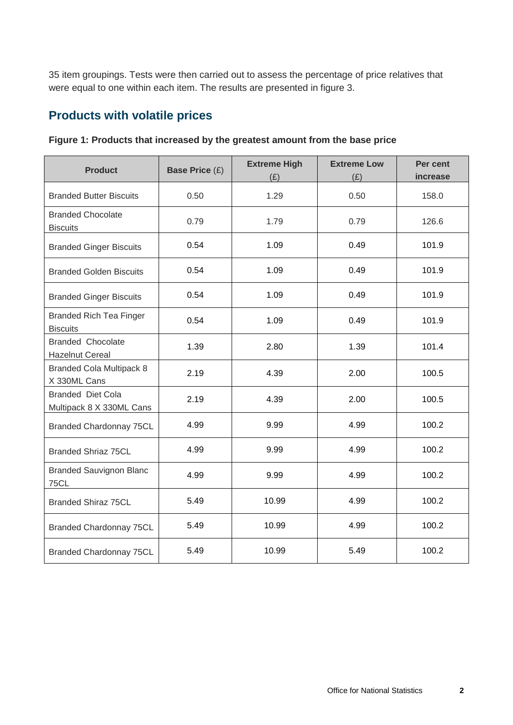35 item groupings. Tests were then carried out to assess the percentage of price relatives that were equal to one within each item. The results are presented in figure 3.

## **Products with volatile prices**

| <b>Product</b>                                       | <b>Base Price (£)</b> | <b>Extreme High</b><br>(E) | <b>Extreme Low</b><br>(E) | Per cent<br>increase |
|------------------------------------------------------|-----------------------|----------------------------|---------------------------|----------------------|
| <b>Branded Butter Biscuits</b>                       | 0.50                  | 1.29                       | 0.50                      | 158.0                |
| <b>Branded Chocolate</b><br><b>Biscuits</b>          | 0.79                  | 1.79                       | 0.79                      | 126.6                |
| <b>Branded Ginger Biscuits</b>                       | 0.54                  | 1.09                       | 0.49                      | 101.9                |
| <b>Branded Golden Biscuits</b>                       | 0.54                  | 1.09                       | 0.49                      | 101.9                |
| <b>Branded Ginger Biscuits</b>                       | 0.54                  | 1.09                       | 0.49                      | 101.9                |
| <b>Branded Rich Tea Finger</b><br><b>Biscuits</b>    | 0.54                  | 1.09                       | 0.49                      | 101.9                |
| <b>Branded Chocolate</b><br><b>Hazelnut Cereal</b>   | 1.39                  | 2.80                       | 1.39                      | 101.4                |
| <b>Branded Cola Multipack 8</b><br>X 330ML Cans      | 2.19                  | 4.39                       | 2.00                      | 100.5                |
| <b>Branded Diet Cola</b><br>Multipack 8 X 330ML Cans | 2.19                  | 4.39                       | 2.00                      | 100.5                |
| <b>Branded Chardonnay 75CL</b>                       | 4.99                  | 9.99                       | 4.99                      | 100.2                |
| <b>Branded Shriaz 75CL</b>                           | 4.99                  | 9.99                       | 4.99                      | 100.2                |
| <b>Branded Sauvignon Blanc</b><br><b>75CL</b>        | 4.99                  | 9.99                       | 4.99                      | 100.2                |
| <b>Branded Shiraz 75CL</b>                           | 5.49                  | 10.99                      | 4.99                      | 100.2                |
| <b>Branded Chardonnay 75CL</b>                       | 5.49                  | 10.99                      | 4.99                      | 100.2                |
| <b>Branded Chardonnay 75CL</b>                       | 5.49                  | 10.99                      | 5.49                      | 100.2                |

**Figure 1: Products that increased by the greatest amount from the base price**